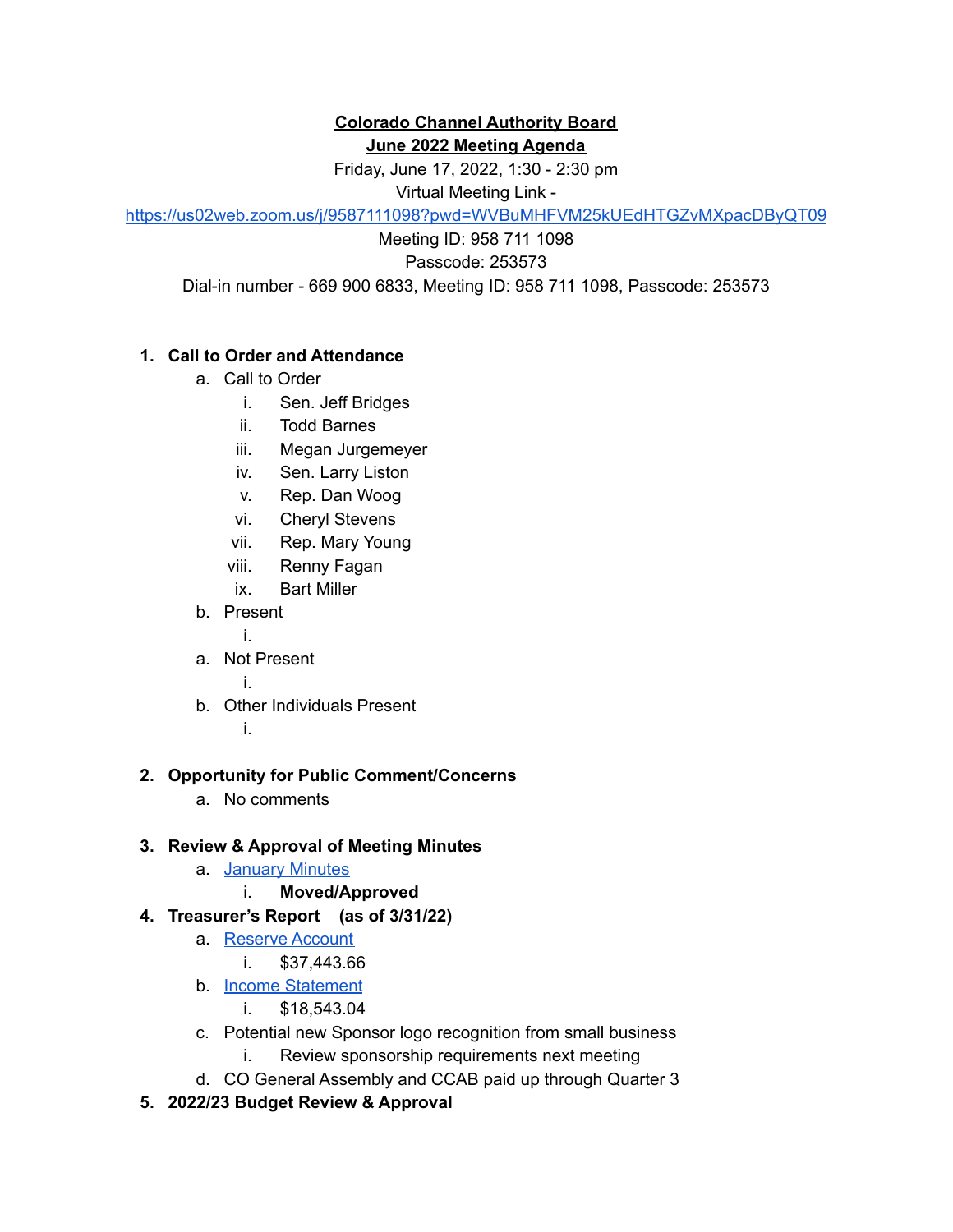#### **Colorado Channel Authority Board June 2022 Meeting Agenda**

Friday, June 17, 2022, 1:30 - 2:30 pm

Virtual Meeting Link -

<https://us02web.zoom.us/j/9587111098?pwd=WVBuMHFVM25kUEdHTGZvMXpacDByQT09>

Meeting ID: 958 711 1098

Passcode: 253573

Dial-in number - 669 900 6833, Meeting ID: 958 711 1098, Passcode: 253573

# **1. Call to Order and Attendance**

- a. Call to Order
	- i. Sen. Jeff Bridges
	- ii. Todd Barnes
	- iii. Megan Jurgemeyer
	- iv. Sen. Larry Liston
	- v. Rep. Dan Woog
	- vi. Cheryl Stevens
	- vii. Rep. Mary Young
	- viii. Renny Fagan
	- ix. Bart Miller
- b. Present
	- i.
- a. Not Present
	- i.
- b. Other Individuals Present
	- i.

# **2. Opportunity for Public Comment/Concerns**

a. No comments

# **3. Review & Approval of Meeting Minutes**

- a. [January](https://docs.google.com/document/d/1bxuHNvZAoB6sQoNF_nBjXha9kJrR_TIeBNnYM3nW6xY/edit?usp=sharing) Minutes
	- i. **Moved/Approved**
- **4. Treasurer's Report (as of 3/31/22)**
	- a. [Reserve](https://docs.google.com/spreadsheets/d/1MjLfm0S4o_tKoDUdyZkwVDqR9jRNQlIzGHuoTgMtVsw/edit#gid=684843921) Account
		- i. \$37,443.66
	- b. Income [Statement](https://docs.google.com/spreadsheets/d/1LO82i4FkJjtMLiQRv6pRuDWuTGXj-fI_BBwktOs4UrU/edit#gid=794817701)
		- i. \$18,543.04
	- c. Potential new Sponsor logo recognition from small business
		- i. Review sponsorship requirements next meeting
	- d. CO General Assembly and CCAB paid up through Quarter 3
- **5. 2022/23 Budget Review & Approval**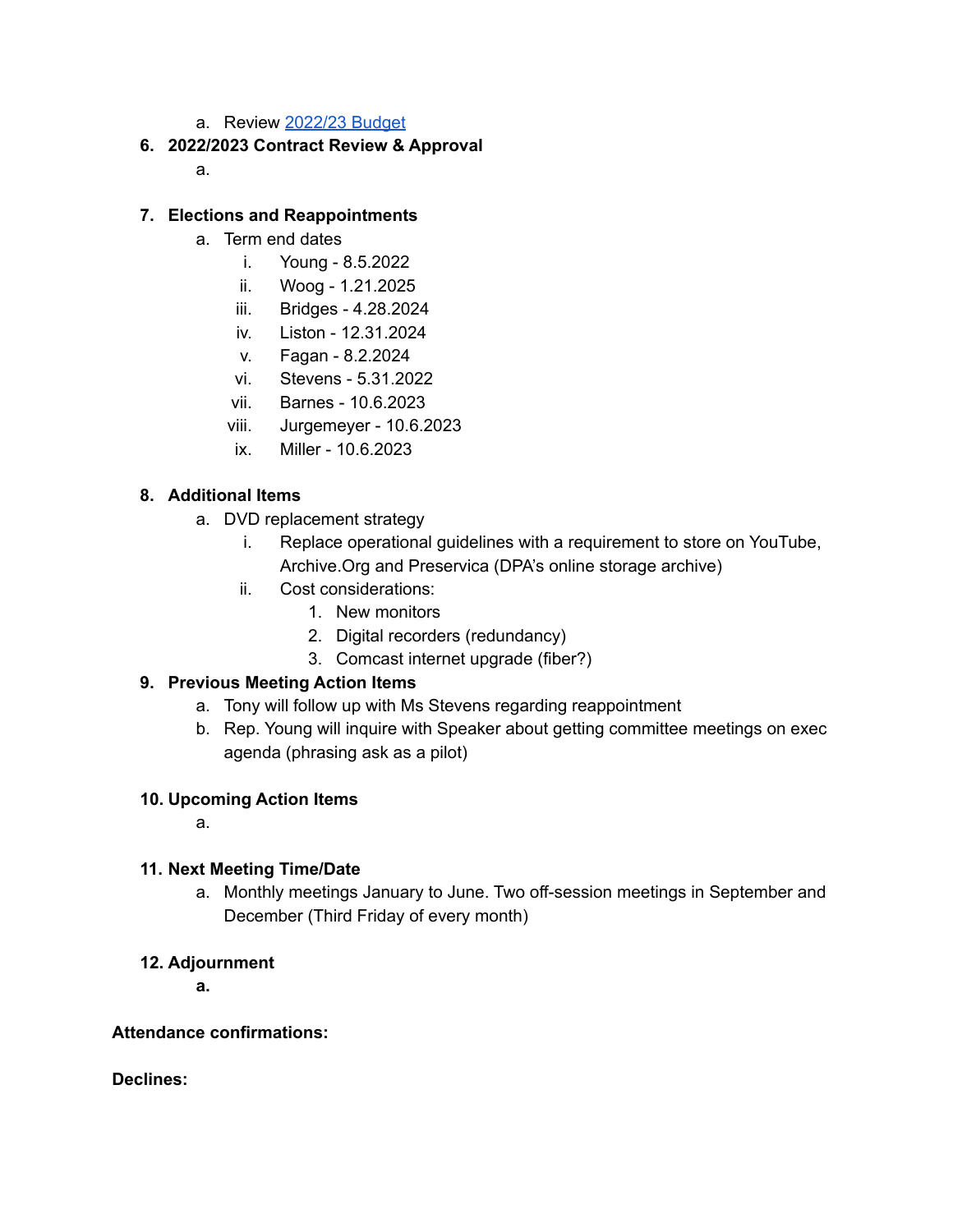a. Review [2022/23](https://drive.google.com/file/d/1cLcjekicrOzy-6yOxa_NieESMdPXHTLx/view?usp=sharing) Budget

## **6. 2022/2023 Contract Review & Approval**

a.

### **7. Elections and Reappointments**

- a. Term end dates
	- i. Young 8.5.2022
	- ii. Woog 1.21.2025
	- iii. Bridges 4.28.2024
	- iv. Liston 12.31.2024
	- v. Fagan 8.2.2024
	- vi. Stevens 5.31.2022
	- vii. Barnes 10.6.2023
	- viii. Jurgemeyer 10.6.2023
	- ix. Miller 10.6.2023

## **8. Additional Items**

- a. DVD replacement strategy
	- i. Replace operational guidelines with a requirement to store on YouTube, Archive.Org and Preservica (DPA's online storage archive)
	- ii. Cost considerations:
		- 1. New monitors
		- 2. Digital recorders (redundancy)
		- 3. Comcast internet upgrade (fiber?)

### **9. Previous Meeting Action Items**

- a. Tony will follow up with Ms Stevens regarding reappointment
- b. Rep. Young will inquire with Speaker about getting committee meetings on exec agenda (phrasing ask as a pilot)

### **10. Upcoming Action Items**

a.

### **11. Next Meeting Time/Date**

a. Monthly meetings January to June. Two off-session meetings in September and December (Third Friday of every month)

### **12. Adjournment**

**a.**

### **Attendance confirmations:**

**Declines:**